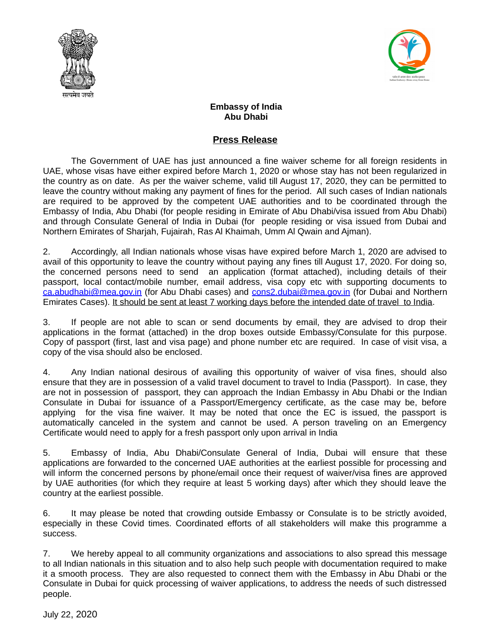



## **Embassy of India Abu Dhabi**

## **Press Release**

The Government of UAE has just announced a fine waiver scheme for all foreign residents in UAE, whose visas have either expired before March 1, 2020 or whose stay has not been regularized in the country as on date. As per the waiver scheme, valid till August 17, 2020, they can be permitted to leave the country without making any payment of fines for the period. All such cases of Indian nationals are required to be approved by the competent UAE authorities and to be coordinated through the Embassy of India, Abu Dhabi (for people residing in Emirate of Abu Dhabi/visa issued from Abu Dhabi) and through Consulate General of India in Dubai (for people residing or visa issued from Dubai and Northern Emirates of Sharjah, Fujairah, Ras Al Khaimah, Umm Al Qwain and Ajman).

2. Accordingly, all Indian nationals whose visas have expired before March 1, 2020 are advised to avail of this opportunity to leave the country without paying any fines till August 17, 2020. For doing so, the concerned persons need to send an application (format attached), including details of their passport, local contact/mobile number, email address, visa copy etc with supporting documents to [ca.abudhabi@mea.gov.in](mailto:ca.abudhabi@mea.gov.in) (for Abu Dhabi cases) and [cons2.dubai@mea.gov.in](mailto:cons2.dubai@mea.gov.in) (for Dubai and Northern Emirates Cases). It should be sent at least 7 working days before the intended date of travel to India.

3. If people are not able to scan or send documents by email, they are advised to drop their applications in the format (attached) in the drop boxes outside Embassy/Consulate for this purpose. Copy of passport (first, last and visa page) and phone number etc are required. In case of visit visa, a copy of the visa should also be enclosed.

4. Any Indian national desirous of availing this opportunity of waiver of visa fines, should also ensure that they are in possession of a valid travel document to travel to India (Passport). In case, they are not in possession of passport, they can approach the Indian Embassy in Abu Dhabi or the Indian Consulate in Dubai for issuance of a Passport/Emergency certificate, as the case may be, before applying for the visa fine waiver. It may be noted that once the EC is issued, the passport is automatically canceled in the system and cannot be used. A person traveling on an Emergency Certificate would need to apply for a fresh passport only upon arrival in India

5. Embassy of India, Abu Dhabi/Consulate General of India, Dubai will ensure that these applications are forwarded to the concerned UAE authorities at the earliest possible for processing and will inform the concerned persons by phone/email once their request of waiver/visa fines are approved by UAE authorities (for which they require at least 5 working days) after which they should leave the country at the earliest possible.

6. It may please be noted that crowding outside Embassy or Consulate is to be strictly avoided, especially in these Covid times. Coordinated efforts of all stakeholders will make this programme a success.

7. We hereby appeal to all community organizations and associations to also spread this message to all Indian nationals in this situation and to also help such people with documentation required to make it a smooth process. They are also requested to connect them with the Embassy in Abu Dhabi or the Consulate in Dubai for quick processing of waiver applications, to address the needs of such distressed people.